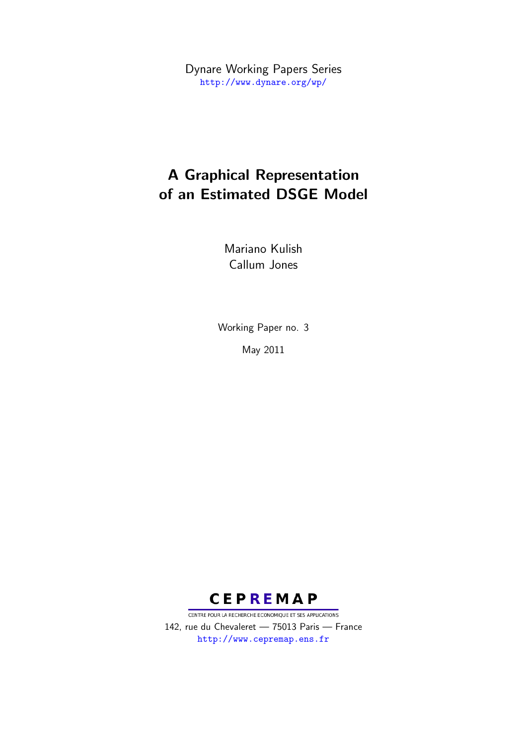Dynare Working Papers Series <http://www.dynare.org/wp/>

# A Graphical Representation of an Estimated DSGE Model

Mariano Kulish Callum Jones

Working Paper no. 3 May 2011



CENTRE POUR LA RECHERCHE ECONOMIQUE ET SES APPLICATIONS 142, rue du Chevaleret — 75013 Paris — France <http://www.cepremap.ens.fr>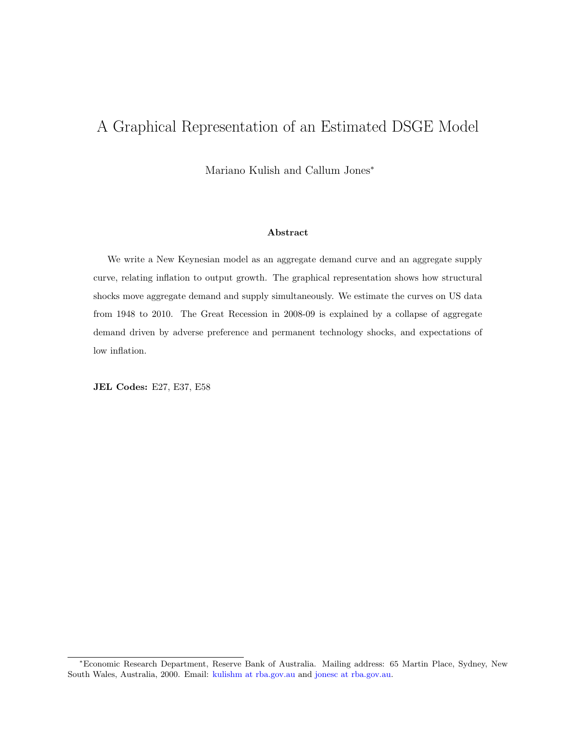## A Graphical Representation of an Estimated DSGE Model

Mariano Kulish and Callum Jones<sup>∗</sup>

#### Abstract

We write a New Keynesian model as an aggregate demand curve and an aggregate supply curve, relating inflation to output growth. The graphical representation shows how structural shocks move aggregate demand and supply simultaneously. We estimate the curves on US data from 1948 to 2010. The Great Recession in 2008-09 is explained by a collapse of aggregate demand driven by adverse preference and permanent technology shocks, and expectations of low inflation.

JEL Codes: E27, E37, E58

<sup>∗</sup>Economic Research Department, Reserve Bank of Australia. Mailing address: 65 Martin Place, Sydney, New South Wales, Australia, 2000. Email: [kulishm at rba.gov.au](mailto:kulishm@rba.gov.au) and [jonesc at rba.gov.au.](mailto:jonesc@rba.gov.au)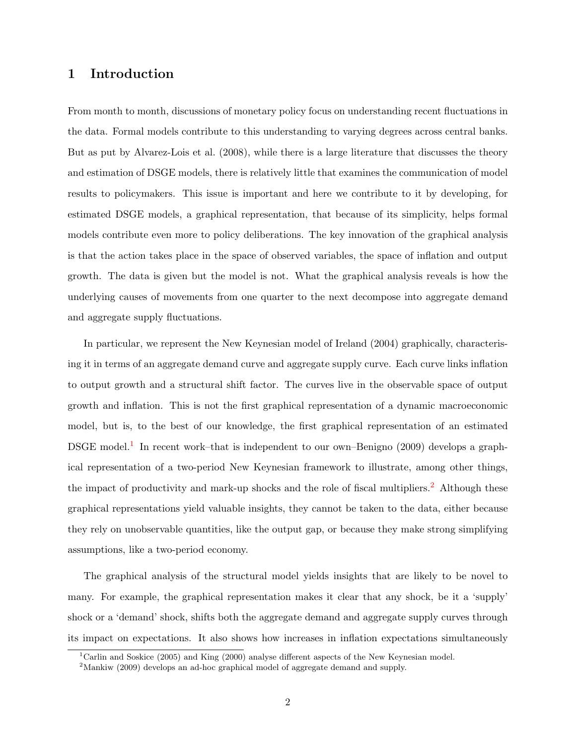#### 1 Introduction

From month to month, discussions of monetary policy focus on understanding recent fluctuations in the data. Formal models contribute to this understanding to varying degrees across central banks. But as put by [Alvarez-Lois et al.](#page-8-0) [\(2008\)](#page-8-0), while there is a large literature that discusses the theory and estimation of DSGE models, there is relatively little that examines the communication of model results to policymakers. This issue is important and here we contribute to it by developing, for estimated DSGE models, a graphical representation, that because of its simplicity, helps formal models contribute even more to policy deliberations. The key innovation of the graphical analysis is that the action takes place in the space of observed variables, the space of inflation and output growth. The data is given but the model is not. What the graphical analysis reveals is how the underlying causes of movements from one quarter to the next decompose into aggregate demand and aggregate supply fluctuations.

In particular, we represent the New Keynesian model of [Ireland](#page-8-1) [\(2004\)](#page-8-1) graphically, characterising it in terms of an aggregate demand curve and aggregate supply curve. Each curve links inflation to output growth and a structural shift factor. The curves live in the observable space of output growth and inflation. This is not the first graphical representation of a dynamic macroeconomic model, but is, to the best of our knowledge, the first graphical representation of an estimated DSGE model.<sup>[1](#page-2-0)</sup> In recent work–that is independent to our own[–Benigno](#page-8-2) [\(2009\)](#page-8-2) develops a graphical representation of a two-period New Keynesian framework to illustrate, among other things, the impact of productivity and mark-up shocks and the role of fiscal multipliers.<sup>[2](#page-2-1)</sup> Although these graphical representations yield valuable insights, they cannot be taken to the data, either because they rely on unobservable quantities, like the output gap, or because they make strong simplifying assumptions, like a two-period economy.

The graphical analysis of the structural model yields insights that are likely to be novel to many. For example, the graphical representation makes it clear that any shock, be it a 'supply' shock or a 'demand' shock, shifts both the aggregate demand and aggregate supply curves through its impact on expectations. It also shows how increases in inflation expectations simultaneously

<span id="page-2-0"></span><sup>1</sup>[Carlin and Soskice](#page-8-3) [\(2005\)](#page-8-3) and [King](#page-8-4) [\(2000\)](#page-8-4) analyse different aspects of the New Keynesian model.

<span id="page-2-1"></span><sup>&</sup>lt;sup>2</sup>[Mankiw](#page-8-5) [\(2009\)](#page-8-5) develops an ad-hoc graphical model of aggregate demand and supply.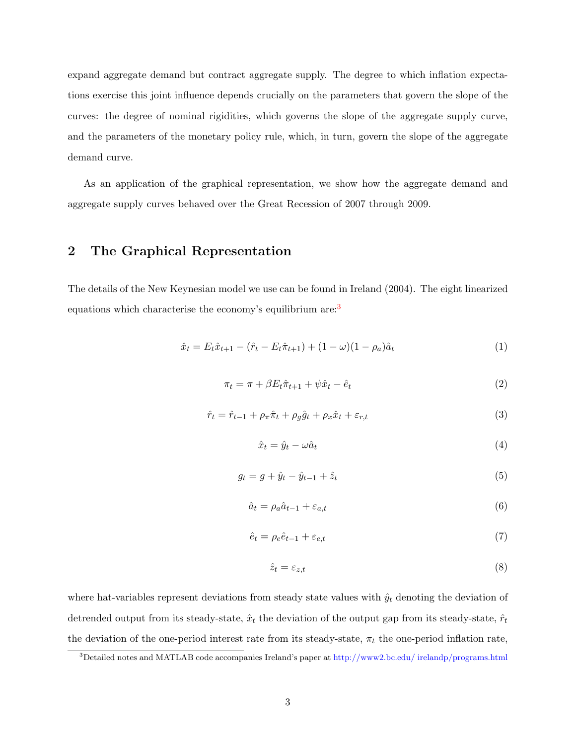expand aggregate demand but contract aggregate supply. The degree to which inflation expectations exercise this joint influence depends crucially on the parameters that govern the slope of the curves: the degree of nominal rigidities, which governs the slope of the aggregate supply curve, and the parameters of the monetary policy rule, which, in turn, govern the slope of the aggregate demand curve.

As an application of the graphical representation, we show how the aggregate demand and aggregate supply curves behaved over the Great Recession of 2007 through 2009.

#### 2 The Graphical Representation

The details of the New Keynesian model we use can be found in [Ireland](#page-8-1) [\(2004\)](#page-8-1). The eight linearized equations which characterise the economy's equilibrium are:<sup>[3](#page-3-0)</sup>

<span id="page-3-5"></span>
$$
\hat{x}_t = E_t \hat{x}_{t+1} - (\hat{r}_t - E_t \hat{\pi}_{t+1}) + (1 - \omega)(1 - \rho_a)\hat{a}_t
$$
\n(1)

<span id="page-3-3"></span>
$$
\pi_t = \pi + \beta E_t \hat{\pi}_{t+1} + \psi \hat{x}_t - \hat{e}_t \tag{2}
$$

<span id="page-3-4"></span>
$$
\hat{r}_t = \hat{r}_{t-1} + \rho_\pi \hat{\pi}_t + \rho_g \hat{g}_t + \rho_x \hat{x}_t + \varepsilon_{r,t} \tag{3}
$$

<span id="page-3-1"></span>
$$
\hat{x}_t = \hat{y}_t - \omega \hat{a}_t \tag{4}
$$

<span id="page-3-2"></span>
$$
g_t = g + \hat{y}_t - \hat{y}_{t-1} + \hat{z}_t \tag{5}
$$

$$
\hat{a}_t = \rho_a \hat{a}_{t-1} + \varepsilon_{a,t} \tag{6}
$$

$$
\hat{e}_t = \rho_e \hat{e}_{t-1} + \varepsilon_{e,t} \tag{7}
$$

$$
\hat{z}_t = \varepsilon_{z,t} \tag{8}
$$

where hat-variables represent deviations from steady state values with  $\hat{y}_t$  denoting the deviation of detrended output from its steady-state,  $\hat{x}_t$  the deviation of the output gap from its steady-state,  $\hat{r}_t$ the deviation of the one-period interest rate from its steady-state,  $\pi_t$  the one-period inflation rate,

<span id="page-3-0"></span><sup>3</sup>Detailed notes and MATLAB code accompanies Ireland's paper at [http://www2.bc.edu/ irelandp/programs.html](http://www2.bc.edu/~irelandp/programs.html)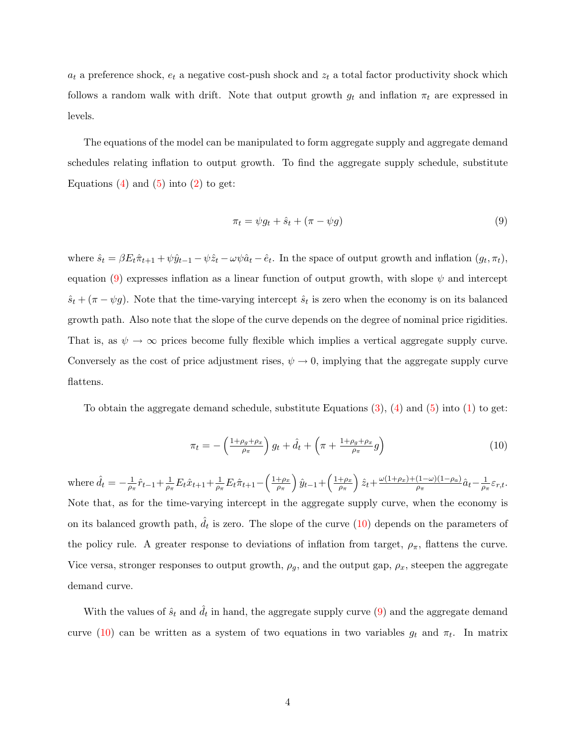$a_t$  a preference shock,  $e_t$  a negative cost-push shock and  $z_t$  a total factor productivity shock which follows a random walk with drift. Note that output growth  $g_t$  and inflation  $\pi_t$  are expressed in levels.

The equations of the model can be manipulated to form aggregate supply and aggregate demand schedules relating inflation to output growth. To find the aggregate supply schedule, substitute Equations  $(4)$  and  $(5)$  into  $(2)$  to get:

<span id="page-4-0"></span>
$$
\pi_t = \psi g_t + \hat{s}_t + (\pi - \psi g) \tag{9}
$$

where  $\hat{s}_t = \beta E_t \hat{\pi}_{t+1} + \psi \hat{y}_{t-1} - \psi \hat{z}_t - \omega \psi \hat{a}_t - \hat{e}_t$ . In the space of output growth and inflation  $(g_t, \pi_t)$ , equation [\(9\)](#page-4-0) expresses inflation as a linear function of output growth, with slope  $\psi$  and intercept  $\hat{s}_t + (\pi - \psi g)$ . Note that the time-varying intercept  $\hat{s}_t$  is zero when the economy is on its balanced growth path. Also note that the slope of the curve depends on the degree of nominal price rigidities. That is, as  $\psi \to \infty$  prices become fully flexible which implies a vertical aggregate supply curve. Conversely as the cost of price adjustment rises,  $\psi \to 0$ , implying that the aggregate supply curve flattens.

To obtain the aggregate demand schedule, substitute Equations  $(3)$ ,  $(4)$  and  $(5)$  into  $(1)$  to get:

<span id="page-4-1"></span>
$$
\pi_t = -\left(\frac{1+\rho_g+\rho_x}{\rho_\pi}\right)g_t + \hat{d}_t + \left(\pi + \frac{1+\rho_g+\rho_x}{\rho_\pi}g\right) \tag{10}
$$

where  $\hat{d}_t = -\frac{1}{\alpha}$  $\frac{1}{\rho_{\pi}}\hat{r}_{t-1} + \frac{1}{\rho_{\pi}}$  $\frac{1}{\rho_{\pi}}E_t\hat{x}_{t+1} + \frac{1}{\rho_{\tau}}$  $\frac{1}{\rho_{\pi}}E_t\hat{\pi}_{t+1}-\left(\frac{1+\rho_x}{\rho_{\pi}}\right)$ ρπ  $\int \hat{y}_{t-1} + \left( \frac{1+\rho_x}{\rho_x} \right)$ ρπ  $\hat{z}_t + \frac{\omega(1+\rho_x)+(1-\omega)(1-\rho_a)}{\rho_x}$  $\frac{(1-\omega)(1-\rho_a)}{\rho_\pi} \hat{a}_t - \frac{1}{\rho_\tau}$  $\frac{1}{\rho_{\pi}}\varepsilon_{r,t}.$ Note that, as for the time-varying intercept in the aggregate supply curve, when the economy is on its balanced growth path,  $\hat{d}_t$  is zero. The slope of the curve  $(10)$  depends on the parameters of the policy rule. A greater response to deviations of inflation from target,  $\rho_{\pi}$ , flattens the curve. Vice versa, stronger responses to output growth,  $\rho_g$ , and the output gap,  $\rho_x$ , steepen the aggregate demand curve.

With the values of  $\hat{s}_t$  and  $\hat{d}_t$  in hand, the aggregate supply curve [\(9\)](#page-4-0) and the aggregate demand curve [\(10\)](#page-4-1) can be written as a system of two equations in two variables  $g_t$  and  $\pi_t$ . In matrix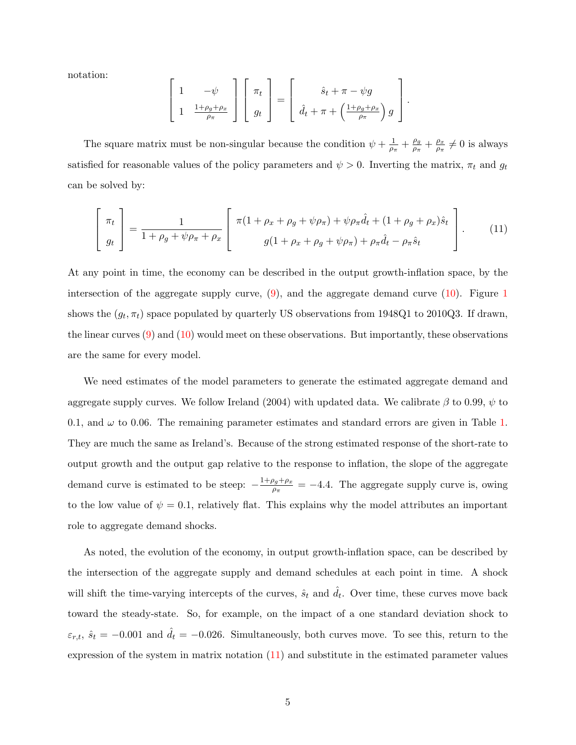notation:

<span id="page-5-0"></span>
$$
\left[\begin{array}{cc} 1 & -\psi \\ 1 & \frac{1+\rho_g+\rho_x}{\rho_\pi} \end{array}\right] \left[\begin{array}{c} \pi_t \\ g_t \end{array}\right] = \left[\begin{array}{c} \hat{s}_t + \pi - \psi g \\ \hat{d}_t + \pi + \left(\frac{1+\rho_g+\rho_x}{\rho_\pi}\right) g \end{array}\right].
$$

The square matrix must be non-singular because the condition  $\psi + \frac{1}{\omega}$  $\frac{1}{\rho_{\pi}}+\frac{\rho_g}{\rho_{\pi}}$  $\frac{\rho_g}{\rho_\pi} + \frac{\rho_x}{\rho_\pi}$  $\frac{\rho_x}{\rho_{\pi}} \neq 0$  is always satisfied for reasonable values of the policy parameters and  $\psi > 0$ . Inverting the matrix,  $\pi_t$  and  $g_t$ can be solved by:

$$
\begin{bmatrix} \pi_t \\ g_t \end{bmatrix} = \frac{1}{1 + \rho_g + \psi \rho_\pi + \rho_x} \begin{bmatrix} \pi(1 + \rho_x + \rho_g + \psi \rho_\pi) + \psi \rho_\pi \hat{d}_t + (1 + \rho_g + \rho_x) \hat{s}_t \\ g(1 + \rho_x + \rho_g + \psi \rho_\pi) + \rho_\pi \hat{d}_t - \rho_\pi \hat{s}_t \end{bmatrix} . \tag{11}
$$

At any point in time, the economy can be described in the output growth-inflation space, by the intersection of the aggregate supply curve,  $(9)$ , and the aggregate demand curve  $(10)$ . Figure [1](#page-9-0) shows the  $(g_t, \pi_t)$  space populated by quarterly US observations from 1948Q1 to 2010Q3. If drawn, the linear curves [\(9\)](#page-4-0) and [\(10\)](#page-4-1) would meet on these observations. But importantly, these observations are the same for every model.

We need estimates of the model parameters to generate the estimated aggregate demand and aggregate supply curves. We follow [Ireland](#page-8-1) [\(2004\)](#page-8-1) with updated data. We calibrate  $\beta$  to 0.99,  $\psi$  to 0.1, and  $\omega$  to 0.06. The remaining parameter estimates and standard errors are given in Table [1.](#page-9-1) They are much the same as Ireland's. Because of the strong estimated response of the short-rate to output growth and the output gap relative to the response to inflation, the slope of the aggregate demand curve is estimated to be steep:  $-\frac{1+\rho_g+\rho_x}{g}$  $\frac{\rho_g + \rho_x}{\rho_{\pi}} = -4.4$ . The aggregate supply curve is, owing to the low value of  $\psi = 0.1$ , relatively flat. This explains why the model attributes an important role to aggregate demand shocks.

As noted, the evolution of the economy, in output growth-inflation space, can be described by the intersection of the aggregate supply and demand schedules at each point in time. A shock will shift the time-varying intercepts of the curves,  $\hat{s}_t$  and  $\hat{d}_t$ . Over time, these curves move back toward the steady-state. So, for example, on the impact of a one standard deviation shock to  $\varepsilon_{r,t}$ ,  $\hat{s}_t = -0.001$  and  $\hat{d}_t = -0.026$ . Simultaneously, both curves move. To see this, return to the expression of the system in matrix notation [\(11\)](#page-5-0) and substitute in the estimated parameter values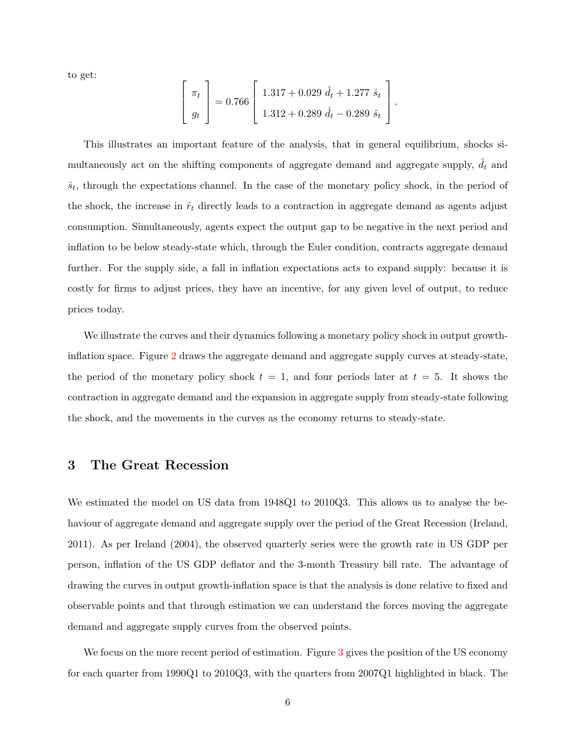to get:

$$
\begin{bmatrix} \pi_t \\ g_t \end{bmatrix} = 0.766 \begin{bmatrix} 1.317 + 0.029 \hat{d}_t + 1.277 \hat{s}_t \\ 1.312 + 0.289 \hat{d}_t - 0.289 \hat{s}_t \end{bmatrix}.
$$

This illustrates an important feature of the analysis, that in general equilibrium, shocks simultaneously act on the shifting components of aggregate demand and aggregate supply,  $d_t$  and  $\hat{s}_t$ , through the expectations channel. In the case of the monetary policy shock, in the period of the shock, the increase in  $\hat{r}_t$  directly leads to a contraction in aggregate demand as agents adjust consumption. Simultaneously, agents expect the output gap to be negative in the next period and inflation to be below steady-state which, through the Euler condition, contracts aggregate demand further. For the supply side, a fall in inflation expectations acts to expand supply: because it is costly for firms to adjust prices, they have an incentive, for any given level of output, to reduce prices today.

We illustrate the curves and their dynamics following a monetary policy shock in output growthinflation space. Figure [2](#page-10-0) draws the aggregate demand and aggregate supply curves at steady-state, the period of the monetary policy shock  $t = 1$ , and four periods later at  $t = 5$ . It shows the contraction in aggregate demand and the expansion in aggregate supply from steady-state following the shock, and the movements in the curves as the economy returns to steady-state.

#### 3 The Great Recession

We estimated the model on US data from 1948Q1 to 2010Q3. This allows us to analyse the behaviour of aggregate demand and aggregate supply over the period of the Great Recession [\(Ireland,](#page-8-6) [2011\)](#page-8-6). As per [Ireland](#page-8-1) [\(2004\)](#page-8-1), the observed quarterly series were the growth rate in US GDP per person, inflation of the US GDP deflator and the 3-month Treasury bill rate. The advantage of drawing the curves in output growth-inflation space is that the analysis is done relative to fixed and observable points and that through estimation we can understand the forces moving the aggregate demand and aggregate supply curves from the observed points.

We focus on the more recent period of estimation. Figure [3](#page-11-0) gives the position of the US economy for each quarter from 1990Q1 to 2010Q3, with the quarters from 2007Q1 highlighted in black. The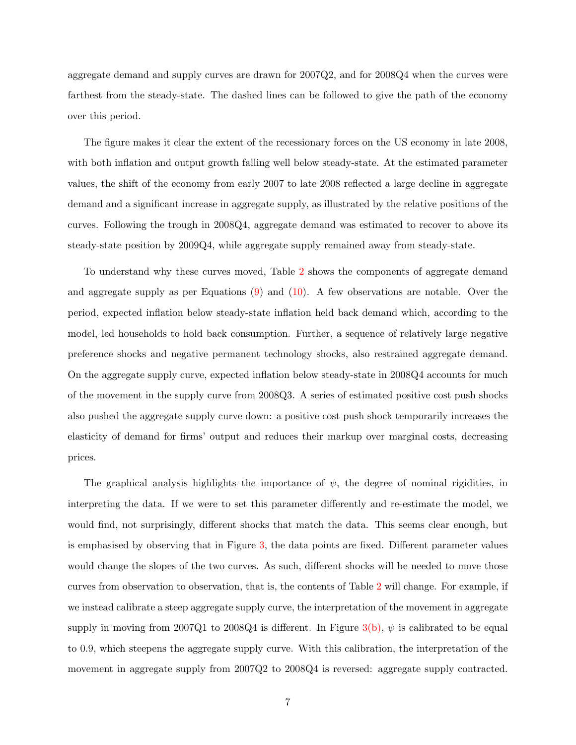aggregate demand and supply curves are drawn for 2007Q2, and for 2008Q4 when the curves were farthest from the steady-state. The dashed lines can be followed to give the path of the economy over this period.

The figure makes it clear the extent of the recessionary forces on the US economy in late 2008, with both inflation and output growth falling well below steady-state. At the estimated parameter values, the shift of the economy from early 2007 to late 2008 reflected a large decline in aggregate demand and a significant increase in aggregate supply, as illustrated by the relative positions of the curves. Following the trough in 2008Q4, aggregate demand was estimated to recover to above its steady-state position by 2009Q4, while aggregate supply remained away from steady-state.

To understand why these curves moved, Table [2](#page-10-1) shows the components of aggregate demand and aggregate supply as per Equations  $(9)$  and  $(10)$ . A few observations are notable. Over the period, expected inflation below steady-state inflation held back demand which, according to the model, led households to hold back consumption. Further, a sequence of relatively large negative preference shocks and negative permanent technology shocks, also restrained aggregate demand. On the aggregate supply curve, expected inflation below steady-state in 2008Q4 accounts for much of the movement in the supply curve from 2008Q3. A series of estimated positive cost push shocks also pushed the aggregate supply curve down: a positive cost push shock temporarily increases the elasticity of demand for firms' output and reduces their markup over marginal costs, decreasing prices.

The graphical analysis highlights the importance of  $\psi$ , the degree of nominal rigidities, in interpreting the data. If we were to set this parameter differently and re-estimate the model, we would find, not surprisingly, different shocks that match the data. This seems clear enough, but is emphasised by observing that in Figure [3,](#page-11-0) the data points are fixed. Different parameter values would change the slopes of the two curves. As such, different shocks will be needed to move those curves from observation to observation, that is, the contents of Table [2](#page-10-1) will change. For example, if we instead calibrate a steep aggregate supply curve, the interpretation of the movement in aggregate supply in moving from 2007Q1 to 2008Q4 is different. In Figure [3](#page-11-0)[\(b\),](#page-11-1)  $\psi$  is calibrated to be equal to 0.9, which steepens the aggregate supply curve. With this calibration, the interpretation of the movement in aggregate supply from 2007Q2 to 2008Q4 is reversed: aggregate supply contracted.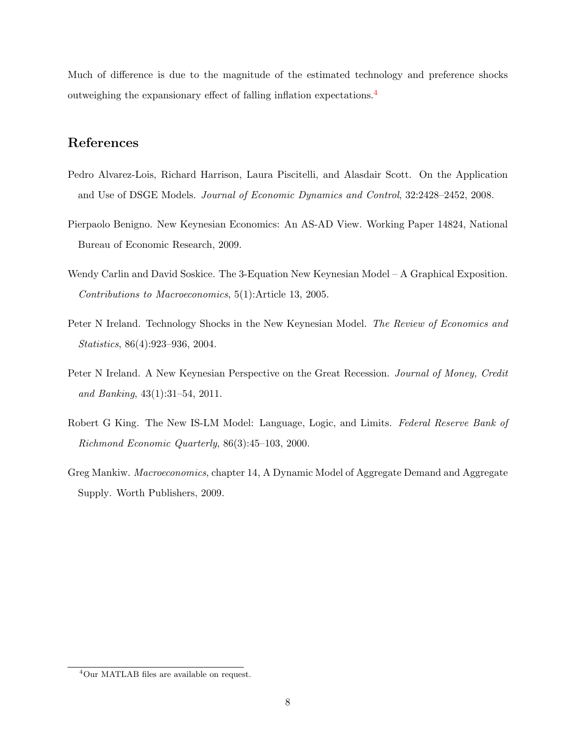Much of difference is due to the magnitude of the estimated technology and preference shocks outweighing the expansionary effect of falling inflation expectations.[4](#page-8-7)

### References

- <span id="page-8-0"></span>Pedro Alvarez-Lois, Richard Harrison, Laura Piscitelli, and Alasdair Scott. On the Application and Use of DSGE Models. Journal of Economic Dynamics and Control, 32:2428–2452, 2008.
- <span id="page-8-2"></span>Pierpaolo Benigno. New Keynesian Economics: An AS-AD View. Working Paper 14824, National Bureau of Economic Research, 2009.
- <span id="page-8-3"></span>Wendy Carlin and David Soskice. The 3-Equation New Keynesian Model – A Graphical Exposition. Contributions to Macroeconomics, 5(1):Article 13, 2005.
- <span id="page-8-1"></span>Peter N Ireland. Technology Shocks in the New Keynesian Model. The Review of Economics and Statistics, 86(4):923–936, 2004.
- <span id="page-8-6"></span>Peter N Ireland. A New Keynesian Perspective on the Great Recession. Journal of Money, Credit and Banking, 43(1):31–54, 2011.
- <span id="page-8-4"></span>Robert G King. The New IS-LM Model: Language, Logic, and Limits. Federal Reserve Bank of Richmond Economic Quarterly, 86(3):45–103, 2000.
- <span id="page-8-5"></span>Greg Mankiw. Macroeconomics, chapter 14, A Dynamic Model of Aggregate Demand and Aggregate Supply. Worth Publishers, 2009.

<span id="page-8-7"></span><sup>4</sup>Our MATLAB files are available on request.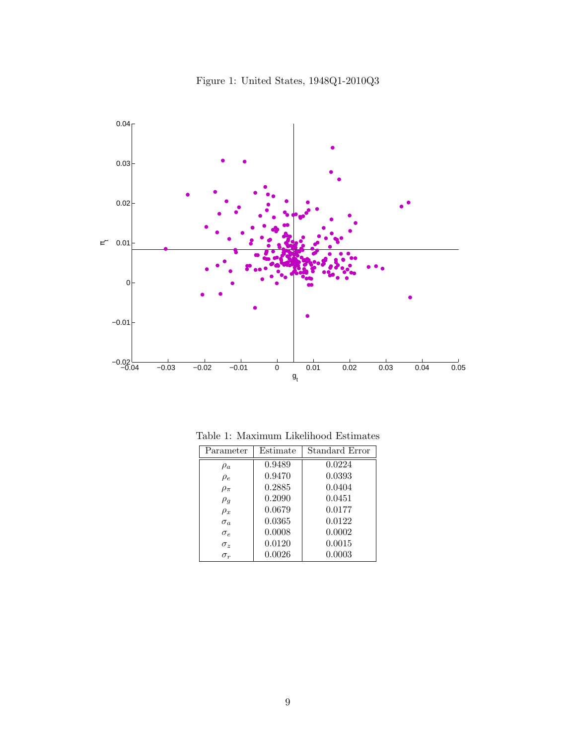

<span id="page-9-0"></span>Figure 1: United States, 1948Q1-2010Q3

<span id="page-9-1"></span>

| Parameter    | Estimate | Standard Error |  |  |  |
|--------------|----------|----------------|--|--|--|
| $\rho_a$     | 0.9489   | 0.0224         |  |  |  |
| $\rho_e$     | 0.9470   | 0.0393         |  |  |  |
| $\rho_{\pi}$ | 0.2885   | 0.0404         |  |  |  |
| $\rho_q$     | 0.2090   | 0.0451         |  |  |  |
| $\rho_x$     | 0.0679   | 0.0177         |  |  |  |
| $\sigma_a$   | 0.0365   | 0.0122         |  |  |  |
| $\sigma_e$   | 0.0008   | 0.0002         |  |  |  |
| $\sigma_z$   | 0.0120   | 0.0015         |  |  |  |
| $\sigma_r$   | 0.0026   | 0.0003         |  |  |  |

Table 1: Maximum Likelihood Estimates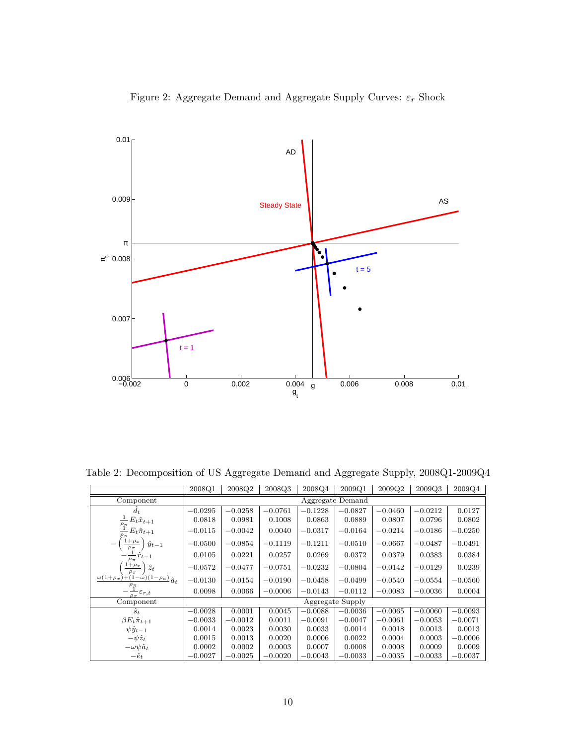

<span id="page-10-0"></span>Figure 2: Aggregate Demand and Aggregate Supply Curves:  $\varepsilon_r$  Shock

<span id="page-10-1"></span>Table 2: Decomposition of US Aggregate Demand and Aggregate Supply, 2008Q1-2009Q4

|                                                                                       | 2008Q1           | 2008Q2    | 2008Q3    | 2008Q4    | 2009Q1    | 2009Q2    | 2009Q3    | 2009Q4    |  |
|---------------------------------------------------------------------------------------|------------------|-----------|-----------|-----------|-----------|-----------|-----------|-----------|--|
| Component                                                                             | Aggregate Demand |           |           |           |           |           |           |           |  |
| $d_t$                                                                                 | $-0.0295$        | $-0.0258$ | $-0.0761$ | $-0.1228$ | $-0.0827$ | $-0.0460$ | $-0.0212$ | 0.0127    |  |
| $\frac{\frac{1}{\rho_{\pi}}E_t\hat{x}_{t+1}}{\frac{1}{\rho_{\pi}}E_t\hat{\pi}_{t+1}}$ | 0.0818           | 0.0981    | 0.1008    | 0.0863    | 0.0889    | 0.0807    | 0.0796    | 0.0802    |  |
| $-E_t\hat{\pi}_{t+1}$                                                                 | $-0.0115$        | $-0.0042$ | 0.0040    | $-0.0317$ | $-0.0164$ | $-0.0214$ | $-0.0186$ | $-0.0250$ |  |
| $1+\rho_x$<br>$\hat{y}_{t-1}$<br>$\rho_{\pi}$                                         | $-0.0500$        | $-0.0854$ | $-0.1119$ | $-0.1211$ | $-0.0510$ | $-0.0667$ | $-0.0487$ | $-0.0491$ |  |
| $\frac{1}{\rho_{\pi}}\hat{r}_{t-1}$                                                   | 0.0105           | 0.0221    | 0.0257    | 0.0269    | 0.0372    | 0.0379    | 0.0383    | 0.0384    |  |
| $1+\rho_x$<br>$\hat{z}_t$<br>$\rho_{\pi}$                                             | $-0.0572$        | $-0.0477$ | $-0.0751$ | $-0.0232$ | $-0.0804$ | $-0.0142$ | $-0.0129$ | 0.0239    |  |
| $\frac{\omega(1+\rho_x)+(1-\omega)(1-\rho_a)}{\hat{a}_t}$                             | $-0.0130$        | $-0.0154$ | $-0.0190$ | $-0.0458$ | $-0.0499$ | $-0.0540$ | $-0.0554$ | $-0.0560$ |  |
| $-\frac{\rho_{\text{T}}}{\rho_{\pi}}\varepsilon_{r,t}$                                | 0.0098           | 0.0066    | $-0.0006$ | $-0.0143$ | $-0.0112$ | $-0.0083$ | $-0.0036$ | 0.0004    |  |
| Component                                                                             | Aggregate Supply |           |           |           |           |           |           |           |  |
| $\hat{s}_t$                                                                           | $-0.0028$        | 0.0001    | 0.0045    | $-0.0088$ | $-0.0036$ | $-0.0065$ | $-0.0060$ | $-0.0093$ |  |
| $\beta E_t \hat{\pi}_{t+1}$                                                           | $-0.0033$        | $-0.0012$ | 0.0011    | $-0.0091$ | $-0.0047$ | $-0.0061$ | $-0.0053$ | $-0.0071$ |  |
| $\psi \hat{y}_{t-1}$                                                                  | 0.0014           | 0.0023    | 0.0030    | 0.0033    | 0.0014    | 0.0018    | 0.0013    | 0.0013    |  |
| $-\psi \hat{z}_t$                                                                     | 0.0015           | 0.0013    | 0.0020    | 0.0006    | 0.0022    | 0.0004    | 0.0003    | $-0.0006$ |  |
| $-\omega \psi \hat{a}_t$                                                              | 0.0002           | 0.0002    | 0.0003    | 0.0007    | 0.0008    | 0.0008    | 0.0009    | 0.0009    |  |
| $-\hat{e}_t$                                                                          | $-0.0027$        | $-0.0025$ | $-0.0020$ | $-0.0043$ | $-0.0033$ | $-0.0035$ | $-0.0033$ | $-0.0037$ |  |